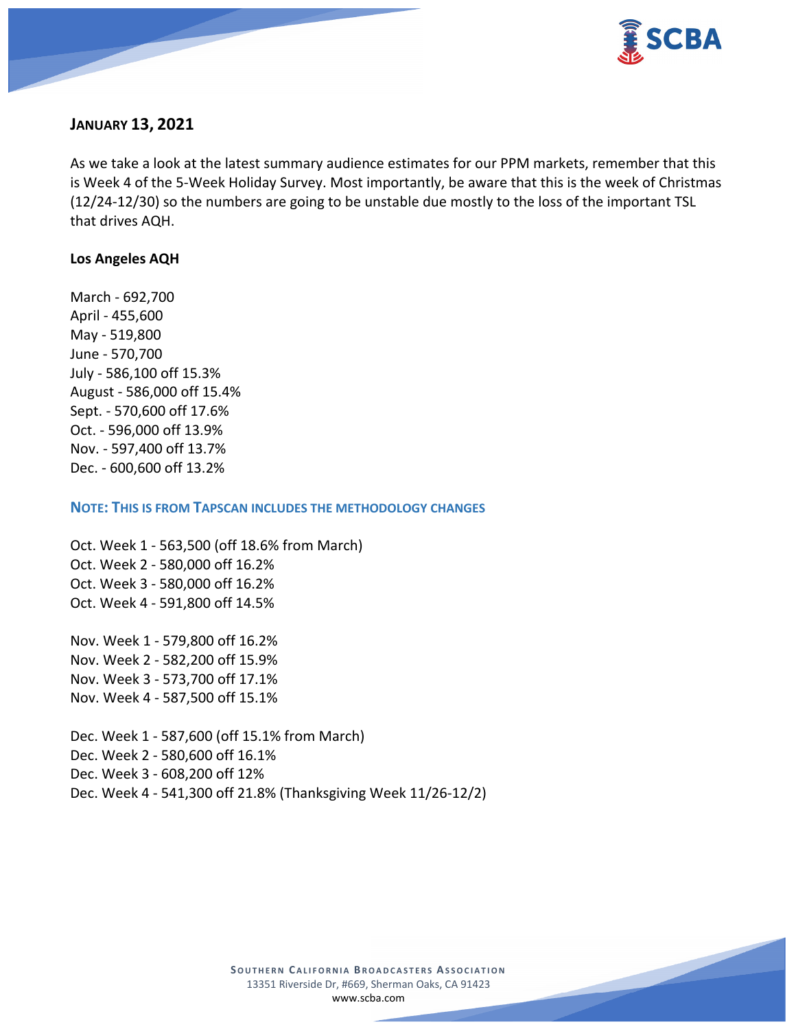

# **JANUARY 13, 2021**

As we take a look at the latest summary audience estimates for our PPM markets, remember that this is Week 4 of the 5-Week Holiday Survey. Most importantly, be aware that this is the week of Christmas (12/24-12/30) so the numbers are going to be unstable due mostly to the loss of the important TSL that drives AQH.

#### **Los Angeles AQH**

March - 692,700 April - 455,600 May - 519,800 June - 570,700 July - 586,100 off 15.3% August - 586,000 off 15.4% Sept. - 570,600 off 17.6% Oct. - 596,000 off 13.9% Nov. - 597,400 off 13.7% Dec. - 600,600 off 13.2%

**NOTE: THIS IS FROM TAPSCAN INCLUDES THE METHODOLOGY CHANGES** 

Oct. Week 1 - 563,500 (off 18.6% from March) Oct. Week 2 - 580,000 off 16.2% Oct. Week 3 - 580,000 off 16.2% Oct. Week 4 - 591,800 off 14.5%

Nov. Week 1 - 579,800 off 16.2% Nov. Week 2 - 582,200 off 15.9% Nov. Week 3 - 573,700 off 17.1% Nov. Week 4 - 587,500 off 15.1%

Dec. Week 1 - 587,600 (off 15.1% from March) Dec. Week 2 - 580,600 off 16.1% Dec. Week 3 - 608,200 off 12% Dec. Week 4 - 541,300 off 21.8% (Thanksgiving Week 11/26-12/2)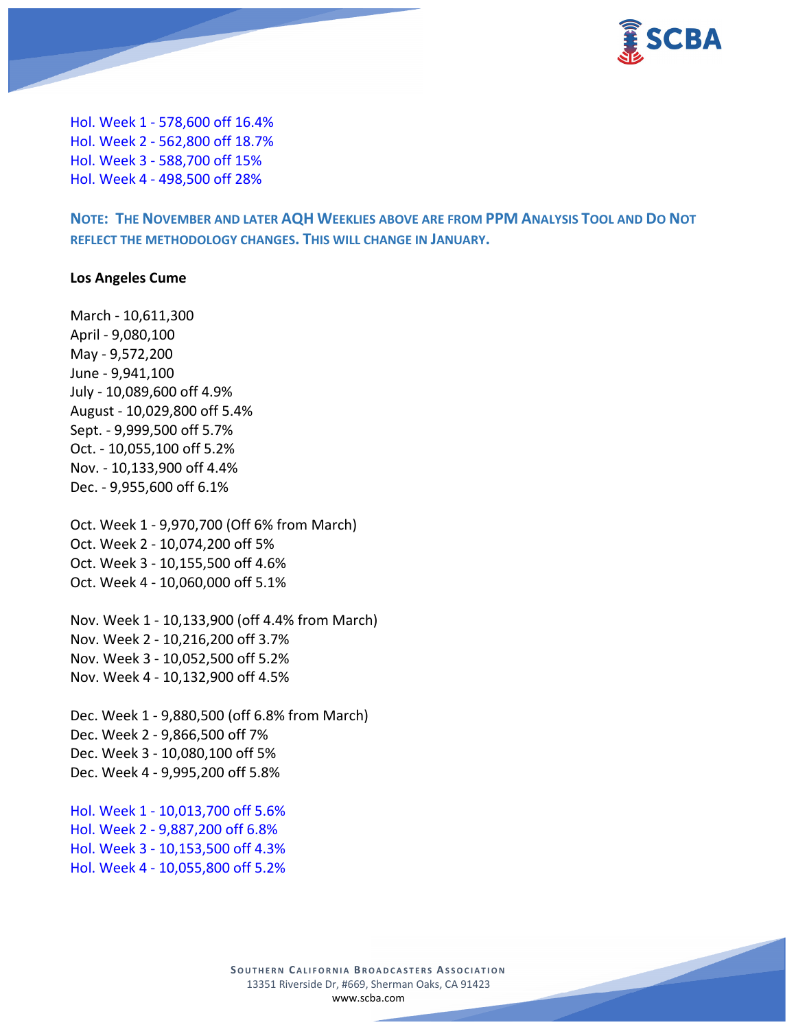

Hol. Week 1 - 578,600 off 16.4% Hol. Week 2 - 562,800 off 18.7% Hol. Week 3 - 588,700 off 15% Hol. Week 4 - 498,500 off 28%

**NOTE: THE NOVEMBER AND LATER AQH WEEKLIES ABOVE ARE FROM PPM ANALYSIS TOOL AND DO NOT REFLECT THE METHODOLOGY CHANGES. THIS WILL CHANGE IN JANUARY.**

#### **Los Angeles Cume**

March - 10,611,300 April - 9,080,100 May - 9,572,200 June - 9,941,100 July - 10,089,600 off 4.9% August - 10,029,800 off 5.4% Sept. - 9,999,500 off 5.7% Oct. - 10,055,100 off 5.2% Nov. - 10,133,900 off 4.4% Dec. - 9,955,600 off 6.1% Oct. Week 1 - 9,970,700 (Off 6% from March) Oct. Week 2 - 10,074,200 off 5% Oct. Week 3 - 10,155,500 off 4.6% Oct. Week 4 - 10,060,000 off 5.1% Nov. Week 1 - 10,133,900 (off 4.4% from March) Nov. Week 2 - 10,216,200 off 3.7% Nov. Week 3 - 10,052,500 off 5.2% Nov. Week 4 - 10,132,900 off 4.5% Dec. Week 1 - 9,880,500 (off 6.8% from March) Dec. Week 2 - 9,866,500 off 7% Dec. Week 3 - 10,080,100 off 5% Dec. Week 4 - 9,995,200 off 5.8%

Hol. Week 1 - 10,013,700 off 5.6% Hol. Week 2 - 9,887,200 off 6.8% Hol. Week 3 - 10,153,500 off 4.3% Hol. Week 4 - 10,055,800 off 5.2%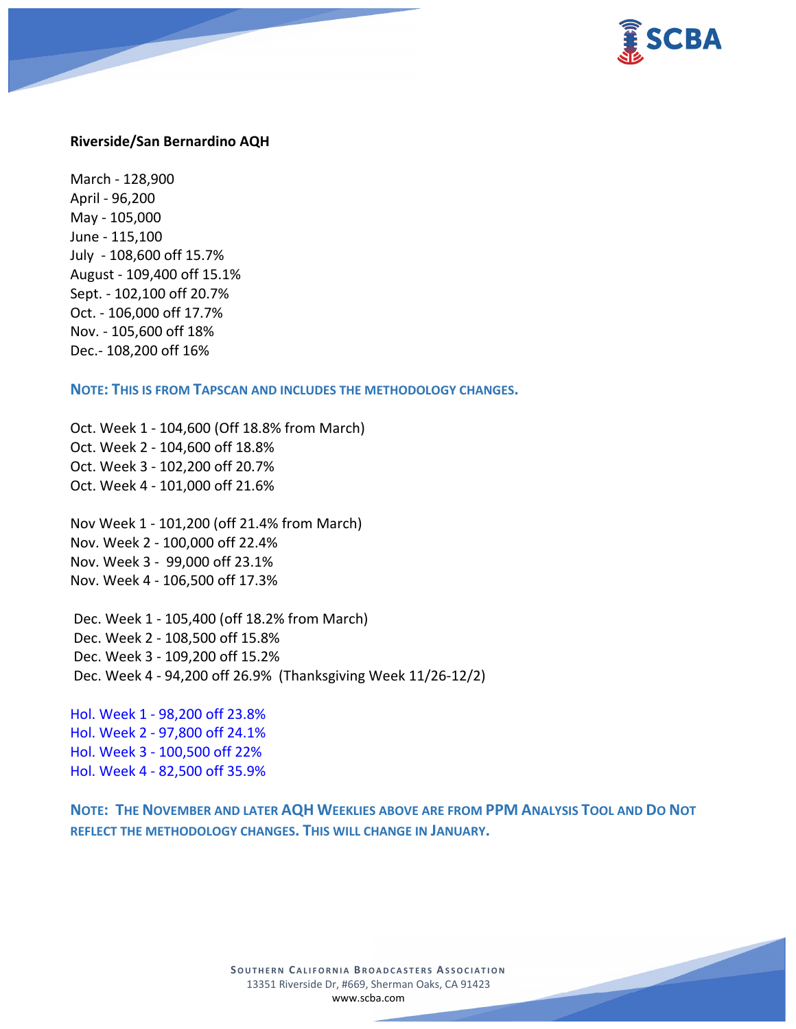

#### **Riverside/San Bernardino AQH**

March - 128,900 April - 96,200 May - 105,000 June - 115,100 July - 108,600 off 15.7% August - 109,400 off 15.1% Sept. - 102,100 off 20.7% Oct. - 106,000 off 17.7% Nov. - 105,600 off 18% Dec.- 108,200 off 16%

**NOTE: THIS IS FROM TAPSCAN AND INCLUDES THE METHODOLOGY CHANGES.** 

Oct. Week 1 - 104,600 (Off 18.8% from March) Oct. Week 2 - 104,600 off 18.8% Oct. Week 3 - 102,200 off 20.7% Oct. Week 4 - 101,000 off 21.6%

Nov Week 1 - 101,200 (off 21.4% from March) Nov. Week 2 - 100,000 off 22.4% Nov. Week 3 - 99,000 off 23.1% Nov. Week 4 - 106,500 off 17.3%

Dec. Week 1 - 105,400 (off 18.2% from March) Dec. Week 2 - 108,500 off 15.8% Dec. Week 3 - 109,200 off 15.2% Dec. Week 4 - 94,200 off 26.9% (Thanksgiving Week 11/26-12/2)

Hol. Week 1 - 98,200 off 23.8% Hol. Week 2 - 97,800 off 24.1% Hol. Week 3 - 100,500 off 22% Hol. Week 4 - 82,500 off 35.9%

**NOTE: THE NOVEMBER AND LATER AQH WEEKLIES ABOVE ARE FROM PPM ANALYSIS TOOL AND DO NOT REFLECT THE METHODOLOGY CHANGES. THIS WILL CHANGE IN JANUARY.**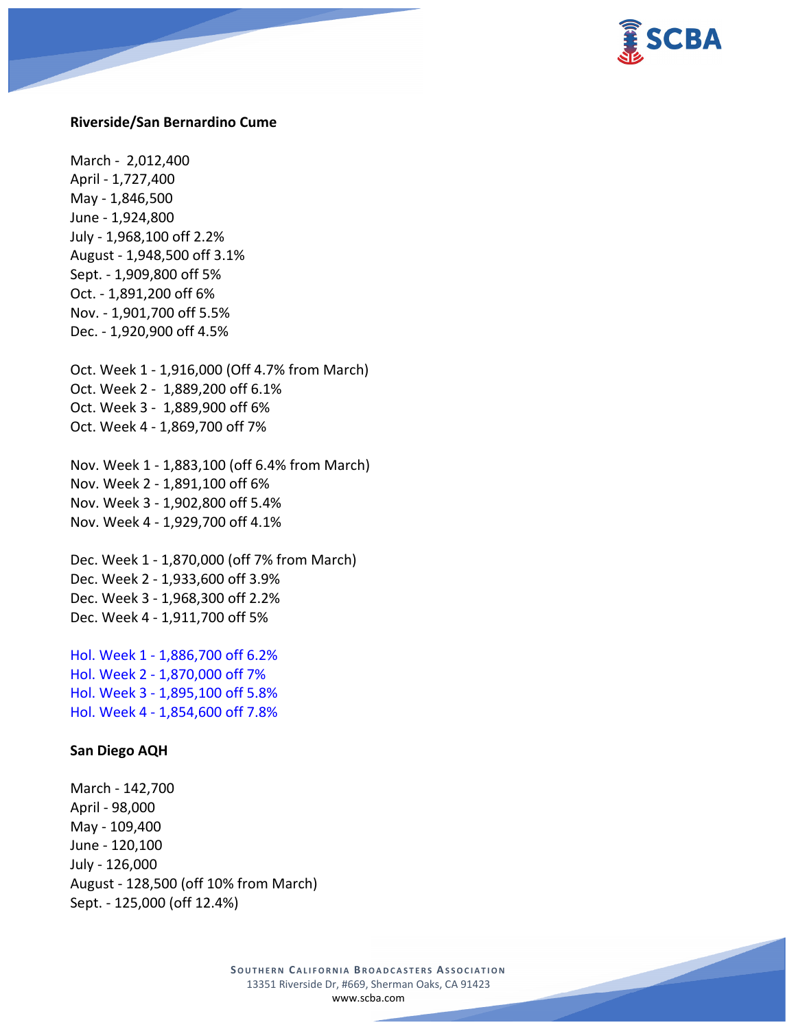

#### **Riverside/San Bernardino Cume**

March - 2,012,400 April - 1,727,400 May - 1,846,500 June - 1,924,800 July - 1,968,100 off 2.2% August - 1,948,500 off 3.1% Sept. - 1,909,800 off 5% Oct. - 1,891,200 off 6% Nov. - 1,901,700 off 5.5% Dec. - 1,920,900 off 4.5%

Oct. Week 1 - 1,916,000 (Off 4.7% from March) Oct. Week 2 - 1,889,200 off 6.1% Oct. Week 3 - 1,889,900 off 6% Oct. Week 4 - 1,869,700 off 7%

Nov. Week 1 - 1,883,100 (off 6.4% from March) Nov. Week 2 - 1,891,100 off 6% Nov. Week 3 - 1,902,800 off 5.4% Nov. Week 4 - 1,929,700 off 4.1%

Dec. Week 1 - 1,870,000 (off 7% from March) Dec. Week 2 - 1,933,600 off 3.9% Dec. Week 3 - 1,968,300 off 2.2% Dec. Week 4 - 1,911,700 off 5%

Hol. Week 1 - 1,886,700 off 6.2% Hol. Week 2 - 1,870,000 off 7% Hol. Week 3 - 1,895,100 off 5.8% Hol. Week 4 - 1,854,600 off 7.8%

#### **San Diego AQH**

March - 142,700 April - 98,000 May - 109,400 June - 120,100 July - 126,000 August - 128,500 (off 10% from March) Sept. - 125,000 (off 12.4%)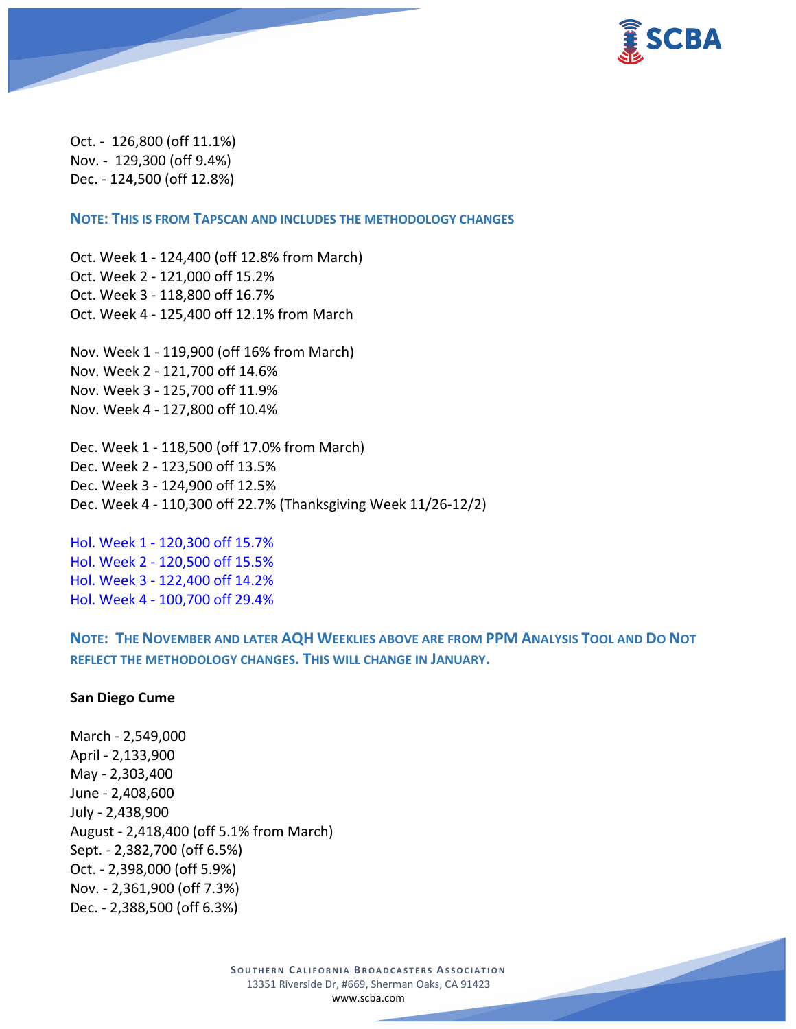

Oct. - 126,800 (off 11.1%) Nov. - 129,300 (off 9.4%) Dec. - 124,500 (off 12.8%)

**NOTE: THIS IS FROM TAPSCAN AND INCLUDES THE METHODOLOGY CHANGES** 

Oct. Week 1 - 124,400 (off 12.8% from March) Oct. Week 2 - 121,000 off 15.2% Oct. Week 3 - 118,800 off 16.7% Oct. Week 4 - 125,400 off 12.1% from March

Nov. Week 1 - 119,900 (off 16% from March) Nov. Week 2 - 121,700 off 14.6% Nov. Week 3 - 125,700 off 11.9% Nov. Week 4 - 127,800 off 10.4%

Dec. Week 1 - 118,500 (off 17.0% from March) Dec. Week 2 - 123,500 off 13.5% Dec. Week 3 - 124,900 off 12.5% Dec. Week 4 - 110,300 off 22.7% (Thanksgiving Week 11/26-12/2)

Hol. Week 1 - 120,300 off 15.7% Hol. Week 2 - 120,500 off 15.5% Hol. Week 3 - 122,400 off 14.2% Hol. Week 4 - 100,700 off 29.4%

**NOTE: THE NOVEMBER AND LATER AQH WEEKLIES ABOVE ARE FROM PPM ANALYSIS TOOL AND DO NOT REFLECT THE METHODOLOGY CHANGES. THIS WILL CHANGE IN JANUARY.**

#### **San Diego Cume**

March - 2,549,000 April - 2,133,900 May - 2,303,400 June - 2,408,600 July - 2,438,900 August - 2,418,400 (off 5.1% from March) Sept. - 2,382,700 (off 6.5%) Oct. - 2,398,000 (off 5.9%) Nov. - 2,361,900 (off 7.3%) Dec. - 2,388,500 (off 6.3%)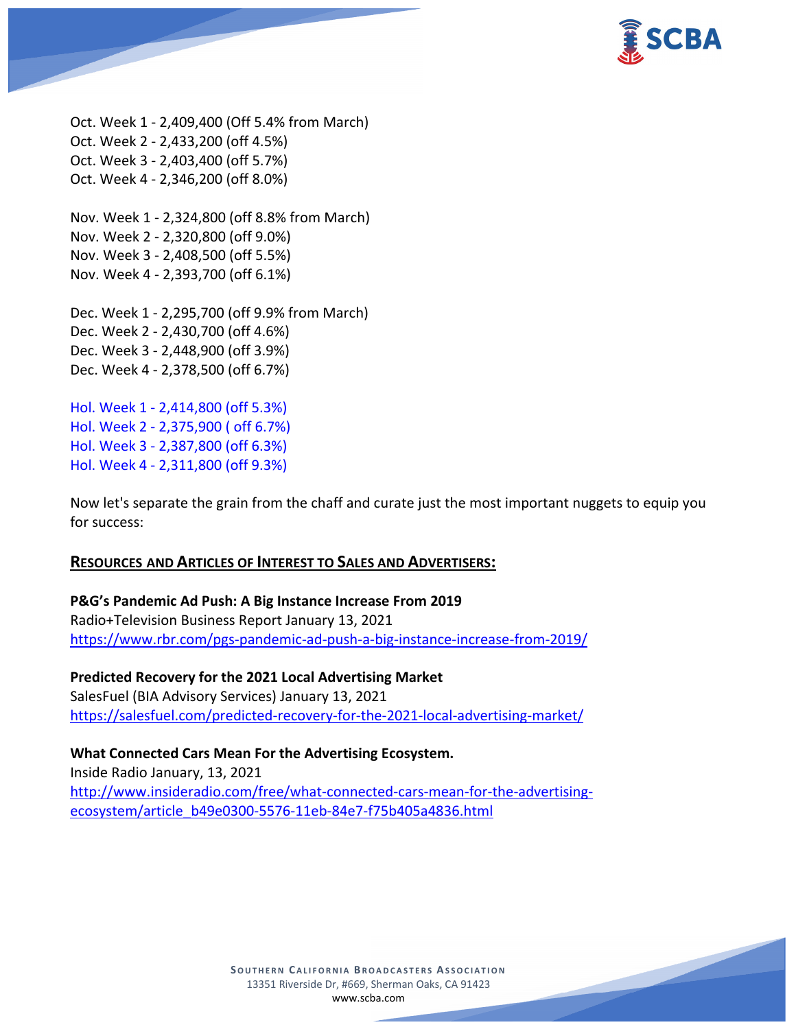

Oct. Week 1 - 2,409,400 (Off 5.4% from March) Oct. Week 2 - 2,433,200 (off 4.5%) Oct. Week 3 - 2,403,400 (off 5.7%) Oct. Week 4 - 2,346,200 (off 8.0%)

Nov. Week 1 - 2,324,800 (off 8.8% from March) Nov. Week 2 - 2,320,800 (off 9.0%) Nov. Week 3 - 2,408,500 (off 5.5%) Nov. Week 4 - 2,393,700 (off 6.1%)

Dec. Week 1 - 2,295,700 (off 9.9% from March) Dec. Week 2 - 2,430,700 (off 4.6%) Dec. Week 3 - 2,448,900 (off 3.9%) Dec. Week 4 - 2,378,500 (off 6.7%)

Hol. Week 1 - 2,414,800 (off 5.3%) Hol. Week 2 - 2,375,900 ( off 6.7%) Hol. Week 3 - 2,387,800 (off 6.3%) Hol. Week 4 - 2,311,800 (off 9.3%)

Now let's separate the grain from the chaff and curate just the most important nuggets to equip you for success:

### **RESOURCES AND ARTICLES OF INTEREST TO SALES AND ADVERTISERS:**

**P&G's Pandemic Ad Push: A Big Instance Increase From 2019** Radio+Television Business Report January 13, 2021 <https://www.rbr.com/pgs-pandemic-ad-push-a-big-instance-increase-from-2019/>

**Predicted Recovery for the 2021 Local Advertising Market** SalesFuel (BIA Advisory Services) January 13, 2021 <https://salesfuel.com/predicted-recovery-for-the-2021-local-advertising-market/>

**What Connected Cars Mean For the Advertising Ecosystem.**

Inside Radio January, 13, 2021 [http://www.insideradio.com/free/what-connected-cars-mean-for-the-advertising](http://www.insideradio.com/free/what-connected-cars-mean-for-the-advertising-ecosystem/article_b49e0300-5576-11eb-84e7-f75b405a4836.html)[ecosystem/article\\_b49e0300-5576-11eb-84e7-f75b405a4836.html](http://www.insideradio.com/free/what-connected-cars-mean-for-the-advertising-ecosystem/article_b49e0300-5576-11eb-84e7-f75b405a4836.html)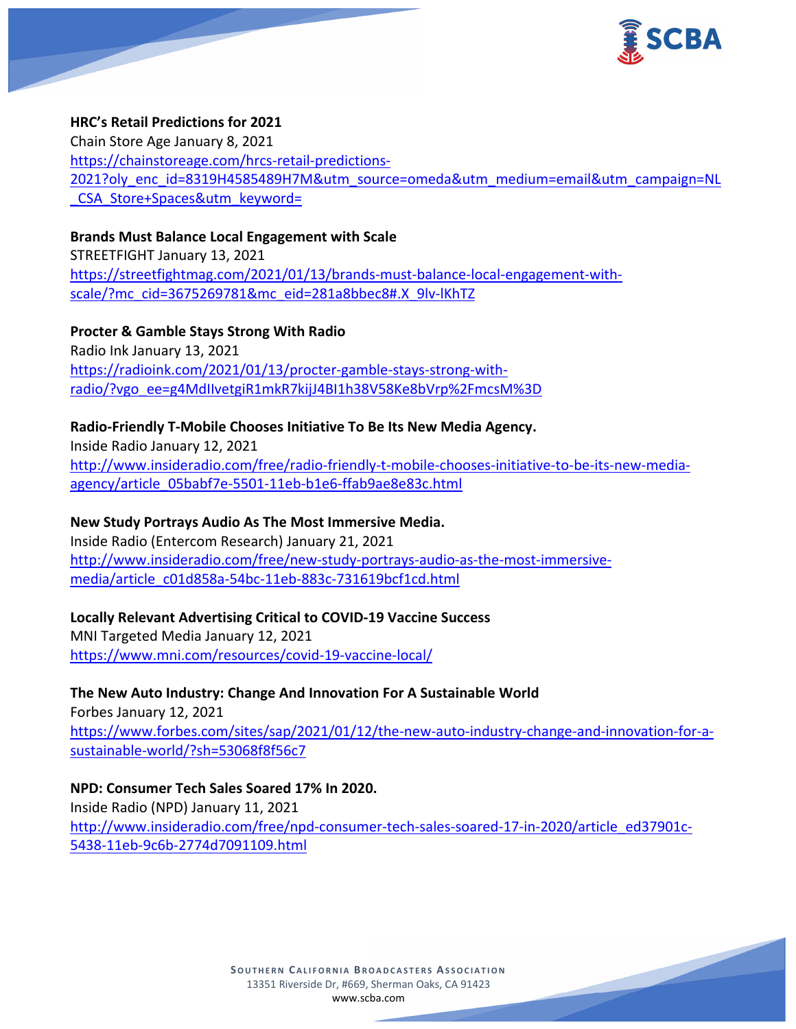

### **HRC's Retail Predictions for 2021**

Chain Store Age January 8, 2021 [https://chainstoreage.com/hrcs-retail-predictions-](https://chainstoreage.com/hrcs-retail-predictions-2021?oly_enc_id=8319H4585489H7M&utm_source=omeda&utm_medium=email&utm_campaign=NL_CSA_Store+Spaces&utm_keyword=)[2021?oly\\_enc\\_id=8319H4585489H7M&utm\\_source=omeda&utm\\_medium=email&utm\\_campaign=NL](https://chainstoreage.com/hrcs-retail-predictions-2021?oly_enc_id=8319H4585489H7M&utm_source=omeda&utm_medium=email&utm_campaign=NL_CSA_Store+Spaces&utm_keyword=) CSA Store+Spaces&utm\_keyword=

# **Brands Must Balance Local Engagement with Scale** STREETFIGHT January 13, 2021 [https://streetfightmag.com/2021/01/13/brands-must-balance-local-engagement-with](https://streetfightmag.com/2021/01/13/brands-must-balance-local-engagement-with-scale/?mc_cid=3675269781&mc_eid=281a8bbec8#.X_9lv-lKhTZ)[scale/?mc\\_cid=3675269781&mc\\_eid=281a8bbec8#.X\\_9lv-lKhTZ](https://streetfightmag.com/2021/01/13/brands-must-balance-local-engagement-with-scale/?mc_cid=3675269781&mc_eid=281a8bbec8#.X_9lv-lKhTZ)

**Procter & Gamble Stays Strong With Radio** Radio Ink January 13, 2021 [https://radioink.com/2021/01/13/procter-gamble-stays-strong-with](https://radioink.com/2021/01/13/procter-gamble-stays-strong-with-radio/?vgo_ee=g4MdIIvetgiR1mkR7kijJ4BI1h38V58Ke8bVrp%2FmcsM%3D)[radio/?vgo\\_ee=g4MdIIvetgiR1mkR7kijJ4BI1h38V58Ke8bVrp%2FmcsM%3D](https://radioink.com/2021/01/13/procter-gamble-stays-strong-with-radio/?vgo_ee=g4MdIIvetgiR1mkR7kijJ4BI1h38V58Ke8bVrp%2FmcsM%3D)

# **Radio-Friendly T-Mobile Chooses Initiative To Be Its New Media Agency.**

Inside Radio January 12, 2021 [http://www.insideradio.com/free/radio-friendly-t-mobile-chooses-initiative-to-be-its-new-media](http://www.insideradio.com/free/radio-friendly-t-mobile-chooses-initiative-to-be-its-new-media-agency/article_05babf7e-5501-11eb-b1e6-ffab9ae8e83c.html)[agency/article\\_05babf7e-5501-11eb-b1e6-ffab9ae8e83c.html](http://www.insideradio.com/free/radio-friendly-t-mobile-chooses-initiative-to-be-its-new-media-agency/article_05babf7e-5501-11eb-b1e6-ffab9ae8e83c.html)

### **New Study Portrays Audio As The Most Immersive Media.**

Inside Radio (Entercom Research) January 21, 2021 [http://www.insideradio.com/free/new-study-portrays-audio-as-the-most-immersive](http://www.insideradio.com/free/new-study-portrays-audio-as-the-most-immersive-media/article_c01d858a-54bc-11eb-883c-731619bcf1cd.html)[media/article\\_c01d858a-54bc-11eb-883c-731619bcf1cd.html](http://www.insideradio.com/free/new-study-portrays-audio-as-the-most-immersive-media/article_c01d858a-54bc-11eb-883c-731619bcf1cd.html)

# **Locally Relevant Advertising Critical to COVID-19 Vaccine Success**

MNI Targeted Media January 12, 2021 <https://www.mni.com/resources/covid-19-vaccine-local/>

**The New Auto Industry: Change And Innovation For A Sustainable World** Forbes January 12, 2021 [https://www.forbes.com/sites/sap/2021/01/12/the-new-auto-industry-change-and-innovation-for-a](https://www.forbes.com/sites/sap/2021/01/12/the-new-auto-industry-change-and-innovation-for-a-sustainable-world/?sh=53068f8f56c7)[sustainable-world/?sh=53068f8f56c7](https://www.forbes.com/sites/sap/2021/01/12/the-new-auto-industry-change-and-innovation-for-a-sustainable-world/?sh=53068f8f56c7)

# **NPD: Consumer Tech Sales Soared 17% In 2020.**

Inside Radio (NPD) January 11, 2021 [http://www.insideradio.com/free/npd-consumer-tech-sales-soared-17-in-2020/article\\_ed37901c-](http://www.insideradio.com/free/npd-consumer-tech-sales-soared-17-in-2020/article_ed37901c-5438-11eb-9c6b-2774d7091109.html)[5438-11eb-9c6b-2774d7091109.html](http://www.insideradio.com/free/npd-consumer-tech-sales-soared-17-in-2020/article_ed37901c-5438-11eb-9c6b-2774d7091109.html)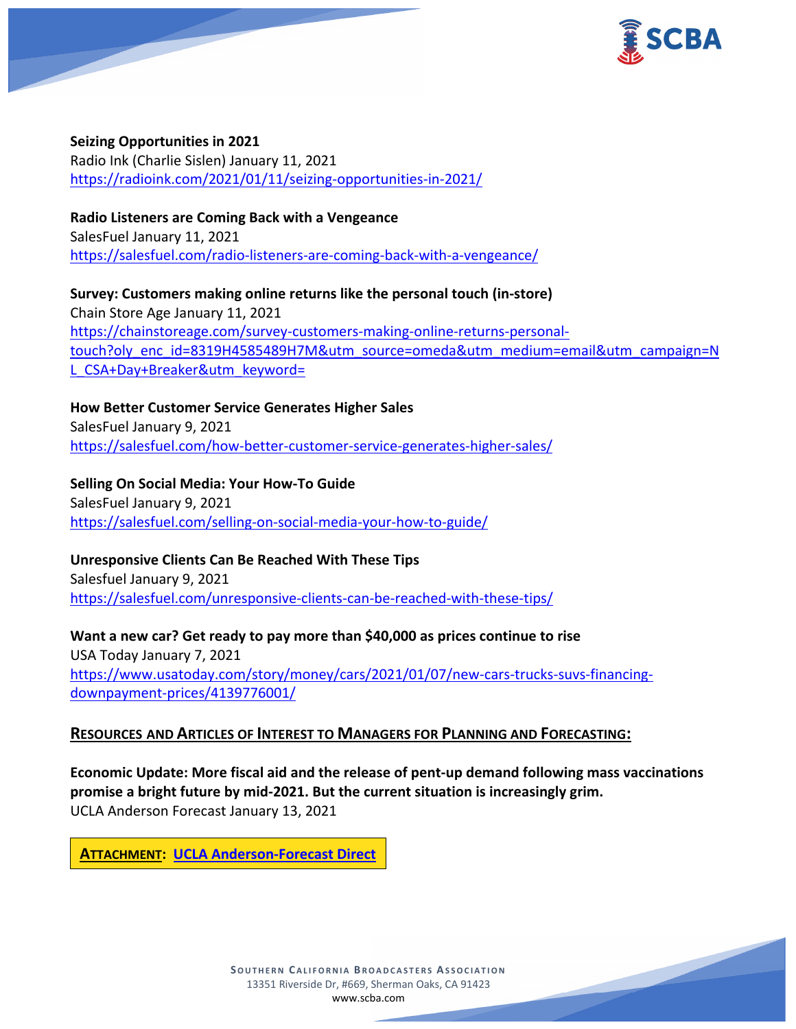

#### **Seizing Opportunities in 2021**

Radio Ink (Charlie Sislen) January 11, 2021 <https://radioink.com/2021/01/11/seizing-opportunities-in-2021/>

**Radio Listeners are Coming Back with a Vengeance**

SalesFuel January 11, 2021 <https://salesfuel.com/radio-listeners-are-coming-back-with-a-vengeance/>

**Survey: Customers making online returns like the personal touch (in-store)** Chain Store Age January 11, 2021 [https://chainstoreage.com/survey-customers-making-online-returns-personal](https://chainstoreage.com/survey-customers-making-online-returns-personal-touch?oly_enc_id=8319H4585489H7M&utm_source=omeda&utm_medium=email&utm_campaign=NL_CSA+Day+Breaker&utm_keyword=)[touch?oly\\_enc\\_id=8319H4585489H7M&utm\\_source=omeda&utm\\_medium=email&utm\\_campaign=N](https://chainstoreage.com/survey-customers-making-online-returns-personal-touch?oly_enc_id=8319H4585489H7M&utm_source=omeda&utm_medium=email&utm_campaign=NL_CSA+Day+Breaker&utm_keyword=) L CSA+Day+Breaker&utm\_keyword=

**How Better Customer Service Generates Higher Sales** SalesFuel January 9, 2021 <https://salesfuel.com/how-better-customer-service-generates-higher-sales/>

**Selling On Social Media: Your How-To Guide** SalesFuel January 9, 2021 <https://salesfuel.com/selling-on-social-media-your-how-to-guide/>

### **Unresponsive Clients Can Be Reached With These Tips**

Salesfuel January 9, 2021 <https://salesfuel.com/unresponsive-clients-can-be-reached-with-these-tips/>

**Want a new car? Get ready to pay more than \$40,000 as prices continue to rise** USA Today January 7, 2021 [https://www.usatoday.com/story/money/cars/2021/01/07/new-cars-trucks-suvs-financing](https://www.usatoday.com/story/money/cars/2021/01/07/new-cars-trucks-suvs-financing-downpayment-prices/4139776001/)[downpayment-prices/4139776001/](https://www.usatoday.com/story/money/cars/2021/01/07/new-cars-trucks-suvs-financing-downpayment-prices/4139776001/)

# **RESOURCES AND ARTICLES OF INTEREST TO MANAGERS FOR PLANNING AND FORECASTING:**

**Economic Update: More fiscal aid and the release of pent-up demand following mass vaccinations promise a bright future by mid-2021. But the current situation is increasingly grim.** UCLA Anderson Forecast January 13, 2021

**ATTACHMENT: [UCLA Anderson-Forecast Direct](https://scba.com/ucla-anderson-forecastdirect_no_4/)**

**SOUTHERN CALIFORNIA BROADCASTERS ASSOCIATION** 13351 Riverside Dr, #669, Sherman Oaks, CA 91423 [www.scba.com](http://www.scba.com/)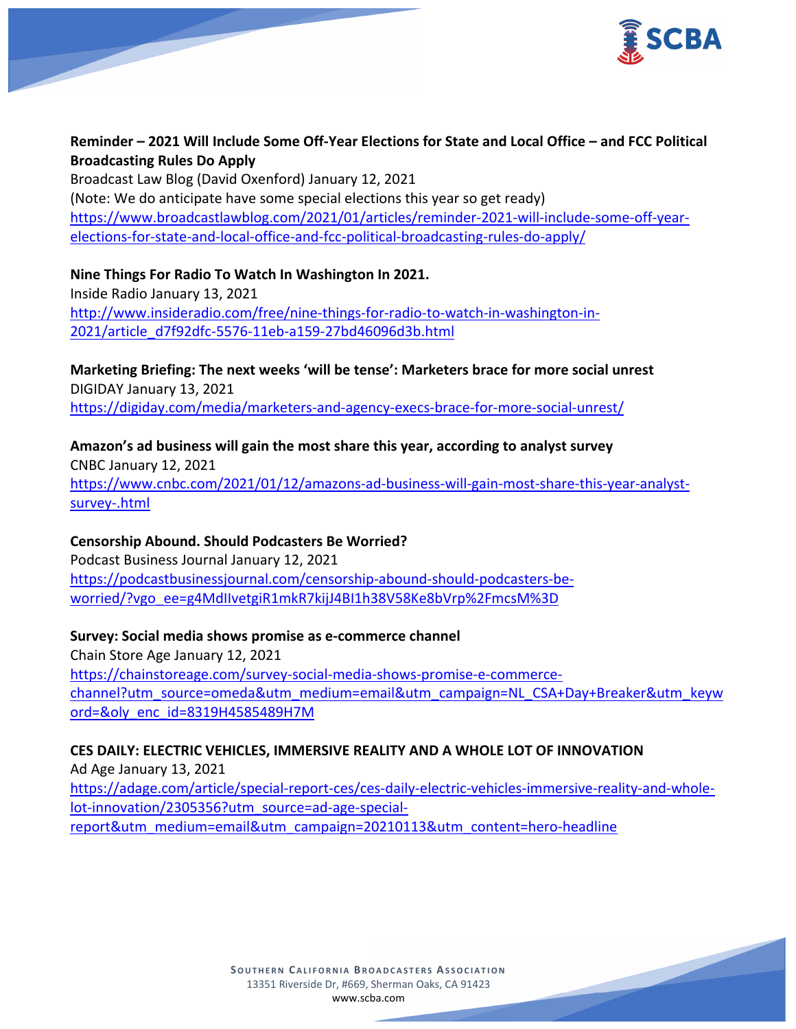

# **Reminder – 2021 Will Include Some Off-Year Elections for State and Local Office – and FCC Political Broadcasting Rules Do Apply**

Broadcast Law Blog (David Oxenford) January 12, 2021 (Note: We do anticipate have some special elections this year so get ready) [https://www.broadcastlawblog.com/2021/01/articles/reminder-2021-will-include-some-off-year](https://www.broadcastlawblog.com/2021/01/articles/reminder-2021-will-include-some-off-year-elections-for-state-and-local-office-and-fcc-political-broadcasting-rules-do-apply/)[elections-for-state-and-local-office-and-fcc-political-broadcasting-rules-do-apply/](https://www.broadcastlawblog.com/2021/01/articles/reminder-2021-will-include-some-off-year-elections-for-state-and-local-office-and-fcc-political-broadcasting-rules-do-apply/)

# **Nine Things For Radio To Watch In Washington In 2021.**

Inside Radio January 13, 2021 [http://www.insideradio.com/free/nine-things-for-radio-to-watch-in-washington-in-](http://www.insideradio.com/free/nine-things-for-radio-to-watch-in-washington-in-2021/article_d7f92dfc-5576-11eb-a159-27bd46096d3b.html)[2021/article\\_d7f92dfc-5576-11eb-a159-27bd46096d3b.html](http://www.insideradio.com/free/nine-things-for-radio-to-watch-in-washington-in-2021/article_d7f92dfc-5576-11eb-a159-27bd46096d3b.html)

**Marketing Briefing: The next weeks 'will be tense': Marketers brace for more social unrest** DIGIDAY January 13, 2021 <https://digiday.com/media/marketers-and-agency-execs-brace-for-more-social-unrest/>

**Amazon's ad business will gain the most share this year, according to analyst survey** CNBC January 12, 2021 [https://www.cnbc.com/2021/01/12/amazons-ad-business-will-gain-most-share-this-year-analyst-](https://www.cnbc.com/2021/01/12/amazons-ad-business-will-gain-most-share-this-year-analyst-survey-.html)

[survey-.html](https://www.cnbc.com/2021/01/12/amazons-ad-business-will-gain-most-share-this-year-analyst-survey-.html)

### **Censorship Abound. Should Podcasters Be Worried?**

Podcast Business Journal January 12, 2021 [https://podcastbusinessjournal.com/censorship-abound-should-podcasters-be](https://podcastbusinessjournal.com/censorship-abound-should-podcasters-be-worried/?vgo_ee=g4MdIIvetgiR1mkR7kijJ4BI1h38V58Ke8bVrp%2FmcsM%3D)[worried/?vgo\\_ee=g4MdIIvetgiR1mkR7kijJ4BI1h38V58Ke8bVrp%2FmcsM%3D](https://podcastbusinessjournal.com/censorship-abound-should-podcasters-be-worried/?vgo_ee=g4MdIIvetgiR1mkR7kijJ4BI1h38V58Ke8bVrp%2FmcsM%3D)

### **Survey: Social media shows promise as e-commerce channel**

Chain Store Age January 12, 2021 [https://chainstoreage.com/survey-social-media-shows-promise-e-commerce](https://chainstoreage.com/survey-social-media-shows-promise-e-commerce-channel?utm_source=omeda&utm_medium=email&utm_campaign=NL_CSA+Day+Breaker&utm_keyword=&oly_enc_id=8319H4585489H7M)[channel?utm\\_source=omeda&utm\\_medium=email&utm\\_campaign=NL\\_CSA+Day+Breaker&utm\\_keyw](https://chainstoreage.com/survey-social-media-shows-promise-e-commerce-channel?utm_source=omeda&utm_medium=email&utm_campaign=NL_CSA+Day+Breaker&utm_keyword=&oly_enc_id=8319H4585489H7M) [ord=&oly\\_enc\\_id=8319H4585489H7M](https://chainstoreage.com/survey-social-media-shows-promise-e-commerce-channel?utm_source=omeda&utm_medium=email&utm_campaign=NL_CSA+Day+Breaker&utm_keyword=&oly_enc_id=8319H4585489H7M)

# **CES DAILY: ELECTRIC VEHICLES, IMMERSIVE REALITY AND A WHOLE LOT OF INNOVATION**

Ad Age January 13, 2021 [https://adage.com/article/special-report-ces/ces-daily-electric-vehicles-immersive-reality-and-whole](https://adage.com/article/special-report-ces/ces-daily-electric-vehicles-immersive-reality-and-whole-lot-innovation/2305356?utm_source=ad-age-special-report&utm_medium=email&utm_campaign=20210113&utm_content=hero-headline)[lot-innovation/2305356?utm\\_source=ad-age-special](https://adage.com/article/special-report-ces/ces-daily-electric-vehicles-immersive-reality-and-whole-lot-innovation/2305356?utm_source=ad-age-special-report&utm_medium=email&utm_campaign=20210113&utm_content=hero-headline)[report&utm\\_medium=email&utm\\_campaign=20210113&utm\\_content=hero-headline](https://adage.com/article/special-report-ces/ces-daily-electric-vehicles-immersive-reality-and-whole-lot-innovation/2305356?utm_source=ad-age-special-report&utm_medium=email&utm_campaign=20210113&utm_content=hero-headline)